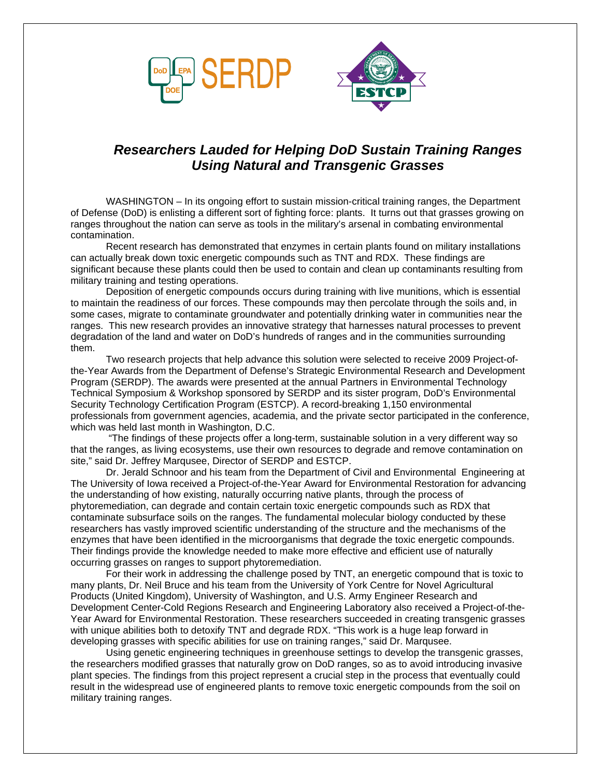



## *Researchers Lauded for Helping DoD Sustain Training Ranges Using Natural and Transgenic Grasses*

WASHINGTON – In its ongoing effort to sustain mission-critical training ranges, the Department of Defense (DoD) is enlisting a different sort of fighting force: plants. It turns out that grasses growing on ranges throughout the nation can serve as tools in the military's arsenal in combating environmental contamination.

Recent research has demonstrated that enzymes in certain plants found on military installations can actually break down toxic energetic compounds such as TNT and RDX. These findings are significant because these plants could then be used to contain and clean up contaminants resulting from military training and testing operations.

Deposition of energetic compounds occurs during training with live munitions, which is essential to maintain the readiness of our forces. These compounds may then percolate through the soils and, in some cases, migrate to contaminate groundwater and potentially drinking water in communities near the ranges. This new research provides an innovative strategy that harnesses natural processes to prevent degradation of the land and water on DoD's hundreds of ranges and in the communities surrounding them.

Two research projects that help advance this solution were selected to receive 2009 Project-ofthe-Year Awards from the Department of Defense's Strategic Environmental Research and Development Program (SERDP). The awards were presented at the annual Partners in Environmental Technology Technical Symposium & Workshop sponsored by SERDP and its sister program, DoD's Environmental Security Technology Certification Program (ESTCP). A record-breaking 1,150 environmental professionals from government agencies, academia, and the private sector participated in the conference, which was held last month in Washington, D.C.

 "The findings of these projects offer a long-term, sustainable solution in a very different way so that the ranges, as living ecosystems, use their own resources to degrade and remove contamination on site," said Dr. Jeffrey Marqusee, Director of SERDP and ESTCP.

Dr. Jerald Schnoor and his team from the Department of Civil and Environmental Engineering at The University of Iowa received a Project-of-the-Year Award for Environmental Restoration for advancing the understanding of how existing, naturally occurring native plants, through the process of phytoremediation, can degrade and contain certain toxic energetic compounds such as RDX that contaminate subsurface soils on the ranges. The fundamental molecular biology conducted by these researchers has vastly improved scientific understanding of the structure and the mechanisms of the enzymes that have been identified in the microorganisms that degrade the toxic energetic compounds. Their findings provide the knowledge needed to make more effective and efficient use of naturally occurring grasses on ranges to support phytoremediation.

For their work in addressing the challenge posed by TNT, an energetic compound that is toxic to many plants, Dr. Neil Bruce and his team from the University of York Centre for Novel Agricultural Products (United Kingdom), University of Washington, and U.S. Army Engineer Research and Development Center-Cold Regions Research and Engineering Laboratory also received a Project-of-the-Year Award for Environmental Restoration. These researchers succeeded in creating transgenic grasses with unique abilities both to detoxify TNT and degrade RDX. "This work is a huge leap forward in developing grasses with specific abilities for use on training ranges," said Dr. Marqusee.

Using genetic engineering techniques in greenhouse settings to develop the transgenic grasses, the researchers modified grasses that naturally grow on DoD ranges, so as to avoid introducing invasive plant species. The findings from this project represent a crucial step in the process that eventually could result in the widespread use of engineered plants to remove toxic energetic compounds from the soil on military training ranges.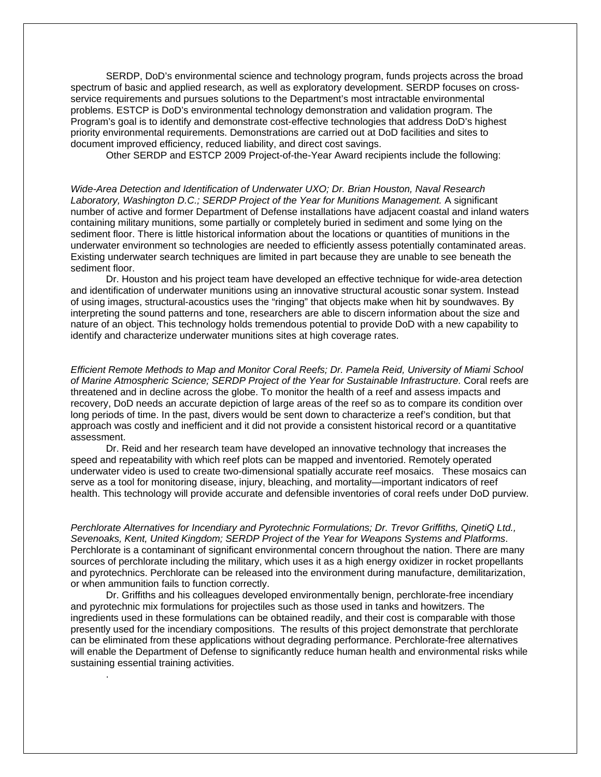SERDP, DoD's environmental science and technology program, funds projects across the broad spectrum of basic and applied research, as well as exploratory development. SERDP focuses on crossservice requirements and pursues solutions to the Department's most intractable environmental problems. ESTCP is DoD's environmental technology demonstration and validation program. The Program's goal is to identify and demonstrate cost-effective technologies that address DoD's highest priority environmental requirements. Demonstrations are carried out at DoD facilities and sites to document improved efficiency, reduced liability, and direct cost savings.

Other SERDP and ESTCP 2009 Project-of-the-Year Award recipients include the following:

*Wide-Area Detection and Identification of Underwater UXO; Dr. Brian Houston, Naval Research*  Laboratory, Washington D.C.; SERDP Project of the Year for Munitions Management. A significant number of active and former Department of Defense installations have adjacent coastal and inland waters containing military munitions, some partially or completely buried in sediment and some lying on the sediment floor. There is little historical information about the locations or quantities of munitions in the underwater environment so technologies are needed to efficiently assess potentially contaminated areas. Existing underwater search techniques are limited in part because they are unable to see beneath the sediment floor.

Dr. Houston and his project team have developed an effective technique for wide-area detection and identification of underwater munitions using an innovative structural acoustic sonar system. Instead of using images, structural-acoustics uses the "ringing" that objects make when hit by soundwaves. By interpreting the sound patterns and tone, researchers are able to discern information about the size and nature of an object. This technology holds tremendous potential to provide DoD with a new capability to identify and characterize underwater munitions sites at high coverage rates.

*Efficient Remote Methods to Map and Monitor Coral Reefs; Dr. Pamela Reid, University of Miami School of Marine Atmospheric Science; SERDP Project of the Year for Sustainable Infrastructure.* Coral reefs are threatened and in decline across the globe. To monitor the health of a reef and assess impacts and recovery, DoD needs an accurate depiction of large areas of the reef so as to compare its condition over long periods of time. In the past, divers would be sent down to characterize a reef's condition, but that approach was costly and inefficient and it did not provide a consistent historical record or a quantitative assessment.

Dr. Reid and her research team have developed an innovative technology that increases the speed and repeatability with which reef plots can be mapped and inventoried. Remotely operated underwater video is used to create two-dimensional spatially accurate reef mosaics. These mosaics can serve as a tool for monitoring disease, injury, bleaching, and mortality—important indicators of reef health. This technology will provide accurate and defensible inventories of coral reefs under DoD purview.

*Perchlorate Alternatives for Incendiary and Pyrotechnic Formulations; Dr. Trevor Griffiths, QinetiQ Ltd., Sevenoaks, Kent, United Kingdom; SERDP Project of the Year for Weapons Systems and Platforms*. Perchlorate is a contaminant of significant environmental concern throughout the nation. There are many sources of perchlorate including the military, which uses it as a high energy oxidizer in rocket propellants and pyrotechnics. Perchlorate can be released into the environment during manufacture, demilitarization, or when ammunition fails to function correctly.

Dr. Griffiths and his colleagues developed environmentally benign, perchlorate-free incendiary and pyrotechnic mix formulations for projectiles such as those used in tanks and howitzers. The ingredients used in these formulations can be obtained readily, and their cost is comparable with those presently used for the incendiary compositions. The results of this project demonstrate that perchlorate can be eliminated from these applications without degrading performance. Perchlorate-free alternatives will enable the Department of Defense to significantly reduce human health and environmental risks while sustaining essential training activities.

.